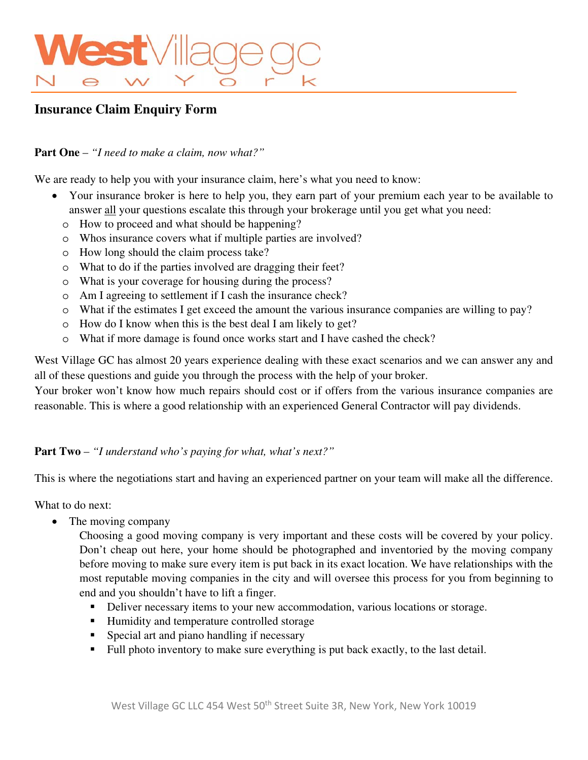# **est** Vill

## **Insurance Claim Enquiry Form**

### **Part One** – *"I need to make a claim, now what?"*

We are ready to help you with your insurance claim, here's what you need to know:

- Your insurance broker is here to help you, they earn part of your premium each year to be available to answer all your questions escalate this through your brokerage until you get what you need:
	- o How to proceed and what should be happening?
	- o Whos insurance covers what if multiple parties are involved?
	- o How long should the claim process take?
	- o What to do if the parties involved are dragging their feet?
	- o What is your coverage for housing during the process?
	- o Am I agreeing to settlement if I cash the insurance check?
	- o What if the estimates I get exceed the amount the various insurance companies are willing to pay?
	- o How do I know when this is the best deal I am likely to get?
	- o What if more damage is found once works start and I have cashed the check?

West Village GC has almost 20 years experience dealing with these exact scenarios and we can answer any and all of these questions and guide you through the process with the help of your broker.

Your broker won't know how much repairs should cost or if offers from the various insurance companies are reasonable. This is where a good relationship with an experienced General Contractor will pay dividends.

### **Part Two** – *"I understand who's paying for what, what's next?"*

This is where the negotiations start and having an experienced partner on your team will make all the difference.

What to do next:

• The moving company

Choosing a good moving company is very important and these costs will be covered by your policy. Don't cheap out here, your home should be photographed and inventoried by the moving company before moving to make sure every item is put back in its exact location. We have relationships with the most reputable moving companies in the city and will oversee this process for you from beginning to end and you shouldn't have to lift a finger.

- Deliver necessary items to your new accommodation, various locations or storage.
- Humidity and temperature controlled storage
- **Special art and piano handling if necessary**
- Full photo inventory to make sure everything is put back exactly, to the last detail.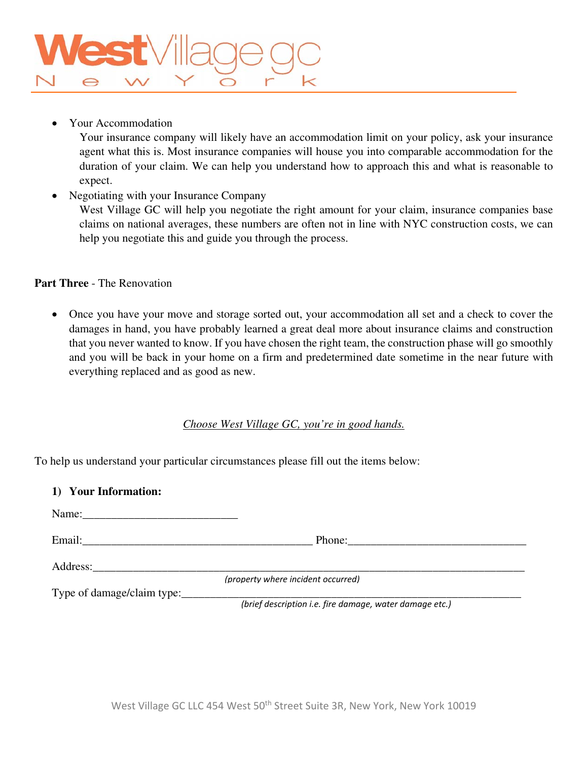Your Accommodation

Your insurance company will likely have an accommodation limit on your policy, ask your insurance agent what this is. Most insurance companies will house you into comparable accommodation for the duration of your claim. We can help you understand how to approach this and what is reasonable to expect.

• Negotiating with your Insurance Company

West Village GC will help you negotiate the right amount for your claim, insurance companies base claims on national averages, these numbers are often not in line with NYC construction costs, we can help you negotiate this and guide you through the process.

### **Part Three** - The Renovation

 Once you have your move and storage sorted out, your accommodation all set and a check to cover the damages in hand, you have probably learned a great deal more about insurance claims and construction that you never wanted to know. If you have chosen the right team, the construction phase will go smoothly and you will be back in your home on a firm and predetermined date sometime in the near future with everything replaced and as good as new.

### *Choose West Village GC, you're in good hands.*

To help us understand your particular circumstances please fill out the items below:

| 1) Your Information:                                                                                           |                                                         |
|----------------------------------------------------------------------------------------------------------------|---------------------------------------------------------|
| Name: 2008. 2008. 2010. 2010. 2012. 2013. 2014. 2015. 2016. 2017. 2018. 2019. 2016. 2017. 2018. 2019. 2017. 20 |                                                         |
|                                                                                                                |                                                         |
| Address:                                                                                                       |                                                         |
|                                                                                                                | (property where incident occurred)                      |
| Type of damage/claim type:                                                                                     | (brief description i.e. fire damage, water damage etc.) |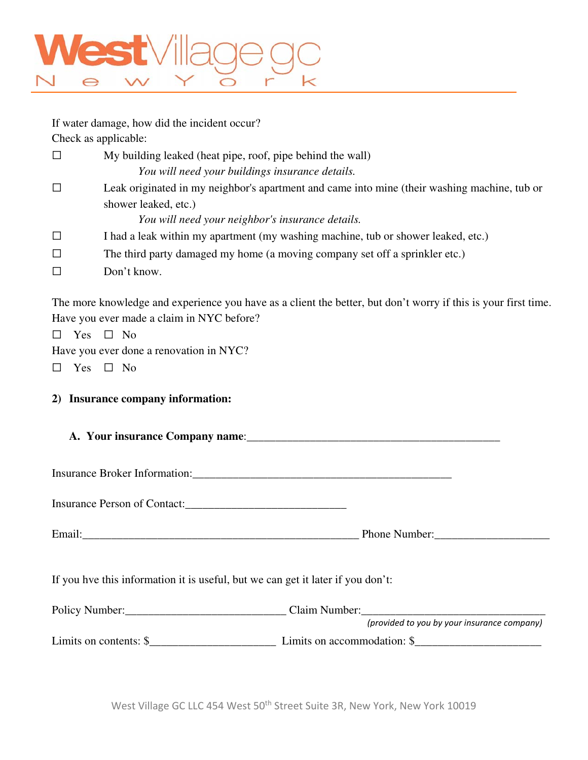

If water damage, how did the incident occur? Check as applicable:  $\Box$  My building leaked (heat pipe, roof, pipe behind the wall) *You will need your buildings insurance details.*  ☐ Leak originated in my neighbor's apartment and came into mine (their washing machine, tub or shower leaked, etc.) *You will need your neighbor's insurance details.*  ☐ I had a leak within my apartment (my washing machine, tub or shower leaked, etc.)  $\Box$  The third party damaged my home (a moving company set off a sprinkler etc.) ☐ Don't know.

The more knowledge and experience you have as a client the better, but don't worry if this is your first time. Have you ever made a claim in NYC before?

☐ Yes ☐ No

Have you ever done a renovation in NYC?

 $\Box$  Yes  $\Box$  No

### **2) Insurance company information:**

**A. Your insurance Company name**:\_\_\_\_\_\_\_\_\_\_\_\_\_\_\_\_\_\_\_\_\_\_\_\_\_\_\_\_\_\_\_\_\_\_\_\_\_\_\_\_\_\_\_\_

Insurance Broker Information:\_\_\_\_\_\_\_\_\_\_\_\_\_\_\_\_\_\_\_\_\_\_\_\_\_\_\_\_\_\_\_\_\_\_\_\_\_\_\_\_\_\_\_\_\_

Insurance Person of Contact:

| $\overline{\phantom{a}}$<br>Email | $\mathbf{D}$<br>$\sim$<br>$h \wedge$<br>эпе<br>$^{\prime\prime}$ and the set of $\sim$<br>* ***** |
|-----------------------------------|---------------------------------------------------------------------------------------------------|
|                                   | ______                                                                                            |

If you hve this information it is useful, but we can get it later if you don't:

| Policy Number:          | Claim Number:               |                                             |
|-------------------------|-----------------------------|---------------------------------------------|
|                         |                             | (provided to you by your insurance company) |
| Limits on contents: $\$ | Limits on accommodation: \$ |                                             |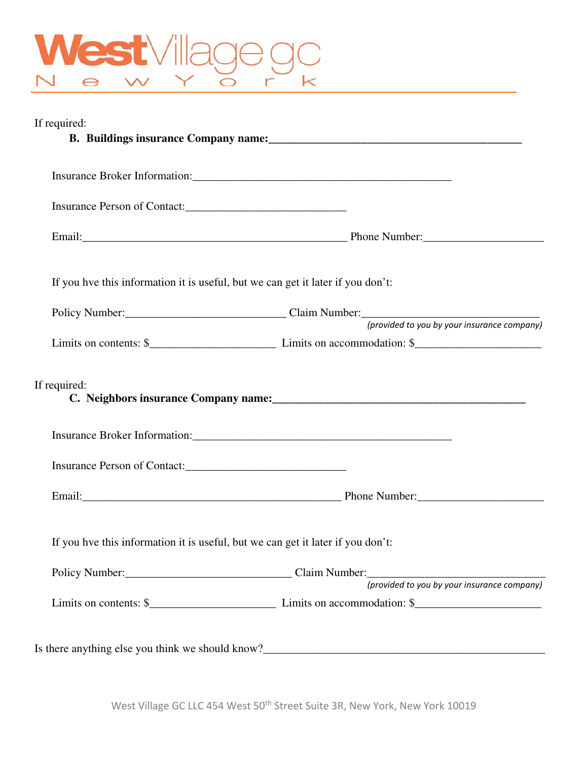

| If required:                                                                    |                                                                                |
|---------------------------------------------------------------------------------|--------------------------------------------------------------------------------|
|                                                                                 |                                                                                |
|                                                                                 |                                                                                |
|                                                                                 |                                                                                |
| If you hve this information it is useful, but we can get it later if you don't: |                                                                                |
|                                                                                 | Policy Number:<br>Claim Number:<br>(provided to you by your insurance company) |
|                                                                                 | Limits on contents: $\frac{1}{2}$ Limits on accommodation: $\frac{1}{2}$       |
| If required:                                                                    |                                                                                |
|                                                                                 |                                                                                |
|                                                                                 |                                                                                |
|                                                                                 |                                                                                |
| If you hve this information it is useful, but we can get it later if you don't: |                                                                                |
|                                                                                 | Policy Number:<br>Claim Number:<br>(provided to you by your insurance company) |
|                                                                                 | Limits on contents: $\frac{1}{2}$ Limits on accommodation: $\frac{1}{2}$       |
|                                                                                 |                                                                                |